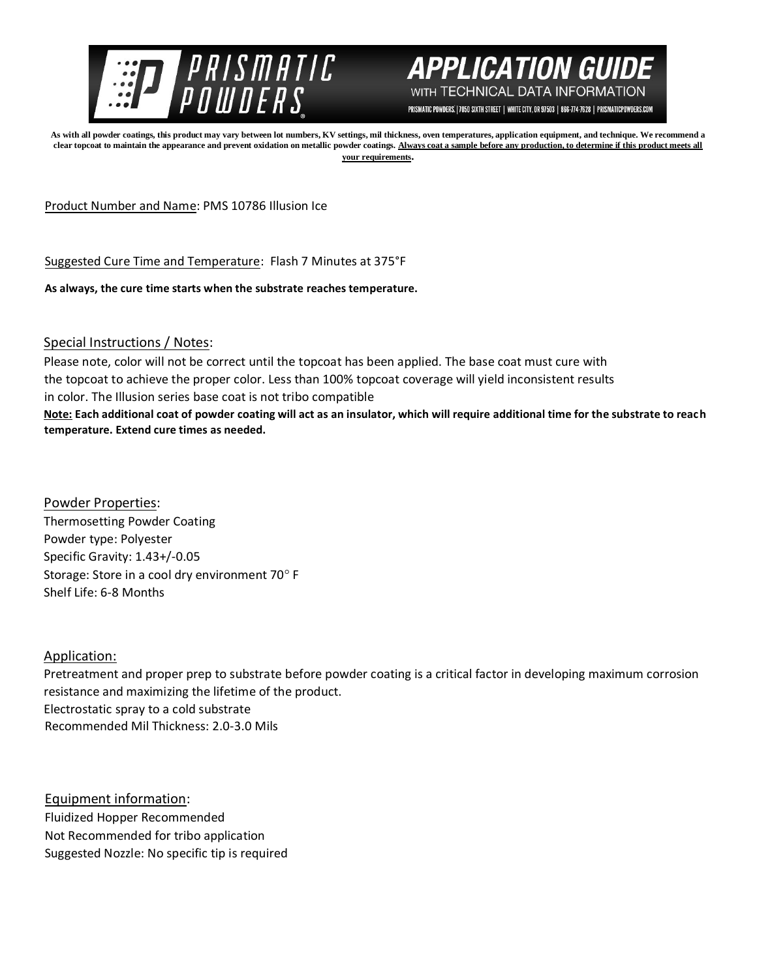



PRISMATIC POWDERS. | 7050 SIXTH STREET | WHITE CITY, OR 97503 | 866-774-7628 | PRISMATICPOWDERS.COM

**As with all powder coatings, this product may vary between lot numbers, KV settings, mil thickness, oven temperatures, application equipment, and technique. We recommend a clear topcoat to maintain the appearance and prevent oxidation on metallic powder coatings. Always coat a sample before any production, to determine if this product meets all your requirements.** 

Product Number and Name: PMS 10786 Illusion Ice

Suggested Cure Time and Temperature: Flash 7 Minutes at 375°F

**As always, the cure time starts when the substrate reaches temperature.**

Special Instructions / Notes:

Please note, color will not be correct until the topcoat has been applied. The base coat must cure with the topcoat to achieve the proper color. Less than 100% topcoat coverage will yield inconsistent results in color. The Illusion series base coat is not tribo compatible **Note: Each additional coat of powder coating will act as an insulator, which will require additional time for the substrate to reach temperature. Extend cure times as needed.** 

Powder Properties: Thermosetting Powder Coating Powder type: Polyester Specific Gravity: 1.43+/-0.05 Storage: Store in a cool dry environment 70° F Shelf Life: 6-8 Months

## Application:

Pretreatment and proper prep to substrate before powder coating is a critical factor in developing maximum corrosion resistance and maximizing the lifetime of the product. Electrostatic spray to a cold substrate Recommended Mil Thickness: 2.0-3.0 Mils

Equipment information: Fluidized Hopper Recommended Not Recommended for tribo application Suggested Nozzle: No specific tip is required